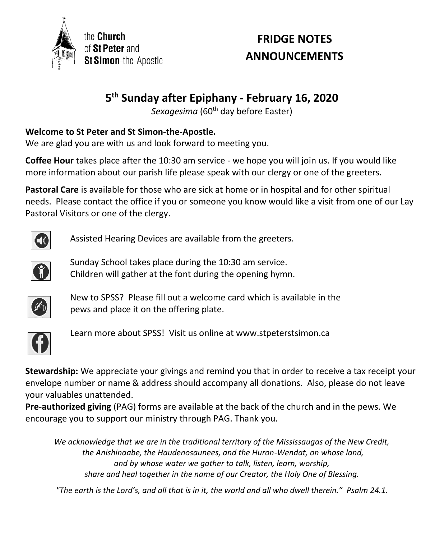

the **Church** of St Peter and St Simon-the-Apostle

# **FRIDGE NOTES ANNOUNCEMENTS**

## **5 th Sunday after Epiphany - February 16, 2020**

Sexagesima (60<sup>th</sup> day before Easter)

### **Welcome to St Peter and St Simon-the-Apostle.**

We are glad you are with us and look forward to meeting you.

**Coffee Hour** takes place after the 10:30 am service - we hope you will join us. If you would like more information about our parish life please speak with our clergy or one of the greeters.

**Pastoral Care** is available for those who are sick at home or in hospital and for other spiritual needs. Please contact the office if you or someone you know would like a visit from one of our Lay Pastoral Visitors or one of the clergy.



Assisted Hearing Devices are available from the greeters.



Sunday School takes place during the 10:30 am service. Children will gather at the font during the opening hymn.



New to SPSS? Please fill out a welcome card which is available in the pews and place it on the offering plate.



Learn more about SPSS! Visit us online at www.stpeterstsimon.ca

**Stewardship:** We appreciate your givings and remind you that in order to receive a tax receipt your envelope number or name & address should accompany all donations. Also, please do not leave your valuables unattended.

**Pre-authorized giving** (PAG) forms are available at the back of the church and in the pews. We encourage you to support our ministry through PAG. Thank you.

*We acknowledge that we are in the traditional territory of the Mississaugas of the New Credit, the Anishinaabe, the Haudenosaunees, and the Huron-Wendat, on whose land, and by whose water we gather to talk, listen, learn, worship, share and heal together in the name of our Creator, the Holy One of Blessing.*

*"The earth is the Lord's, and all that is in it, the world and all who dwell therein." Psalm 24.1.*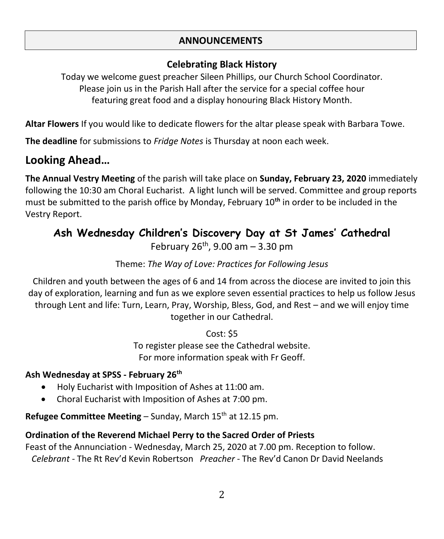#### **ANNOUNCEMENTS**

## **Celebrating Black History**

Today we welcome guest preacher Sileen Phillips, our Church School Coordinator. Please join us in the Parish Hall after the service for a special coffee hour featuring great food and a display honouring Black History Month.

**Altar Flowers** If you would like to dedicate flowers for the altar please speak with Barbara Towe.

**The deadline** for submissions to *Fridge Notes* is Thursday at noon each week.

## **Looking Ahead…**

**The Annual Vestry Meeting** of the parish will take place on **Sunday, February 23, 2020** immediately following the 10:30 am Choral Eucharist. A light lunch will be served. Committee and group reports must be submitted to the parish office by Monday, February 10**th** in order to be included in the Vestry Report.

## **Ash Wednesday Children's Discovery Day at St James' Cathedral** February  $26^{th}$ , 9.00 am - 3.30 pm

#### Theme: *The Way of Love: Practices for Following Jesus*

Children and youth between the ages of 6 and 14 from across the diocese are invited to join this day of exploration, learning and fun as we explore seven essential practices to help us follow Jesus through Lent and life: Turn, Learn, Pray, Worship, Bless, God, and Rest – and we will enjoy time together in our Cathedral.

> Cost: \$5 To register please see the Cathedral website. For more information speak with Fr Geoff.

#### **Ash Wednesday at SPSS - February 26th**

- Holy Eucharist with Imposition of Ashes at 11:00 am.
- Choral Eucharist with Imposition of Ashes at 7:00 pm.

**Refugee Committee Meeting – Sunday, March 15<sup>th</sup> at 12.15 pm.** 

#### **Ordination of the Reverend Michael Perry to the Sacred Order of Priests**

Feast of the Annunciation - Wednesday, March 25, 2020 at 7.00 pm. Reception to follow. *Celebrant -* The Rt Rev'd Kevin Robertson *Preacher* - The Rev'd Canon Dr David Neelands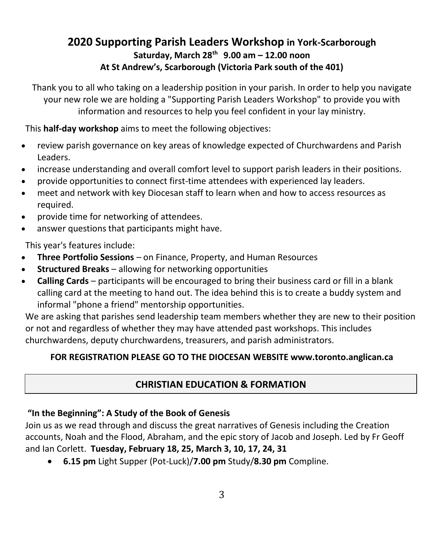## **2020 Supporting Parish Leaders Workshop in York-Scarborough Saturday, March 28th 9.00 am – 12.00 noon At St Andrew's, Scarborough (Victoria Park south of the 401)**

Thank you to all who taking on a leadership position in your parish. In order to help you navigate your new role we are holding a "Supporting Parish Leaders Workshop" to provide you with information and resources to help you feel confident in your lay ministry.

This **half-day workshop** aims to meet the following objectives:

- review parish governance on key areas of knowledge expected of Churchwardens and Parish Leaders.
- increase understanding and overall comfort level to support parish leaders in their positions.
- provide opportunities to connect first-time attendees with experienced lay leaders.
- meet and network with key Diocesan staff to learn when and how to access resources as required.
- provide time for networking of attendees.
- answer questions that participants might have.

This year's features include:

- **Three Portfolio Sessions** on Finance, Property, and Human Resources
- **Structured Breaks** allowing for networking opportunities
- **Calling Cards** participants will be encouraged to bring their business card or fill in a blank calling card at the meeting to hand out. The idea behind this is to create a buddy system and informal "phone a friend" mentorship opportunities.

We are asking that parishes send leadership team members whether they are new to their position or not and regardless of whether they may have attended past workshops. This includes churchwardens, deputy churchwardens, treasurers, and parish administrators.

#### **FOR REGISTRATION PLEASE GO TO THE DIOCESAN WEBSITE www.toronto.anglican.ca**

### **CHRISTIAN EDUCATION & FORMATION**

#### **"In the Beginning": A Study of the Book of Genesis**

Join us as we read through and discuss the great narratives of Genesis including the Creation accounts, Noah and the Flood, Abraham, and the epic story of Jacob and Joseph. Led by Fr Geoff and Ian Corlett. **Tuesday, February 18, 25, March 3, 10, 17, 24, 31**

• **6.15 pm** Light Supper (Pot-Luck)/**7.00 pm** Study/**8.30 pm** Compline.